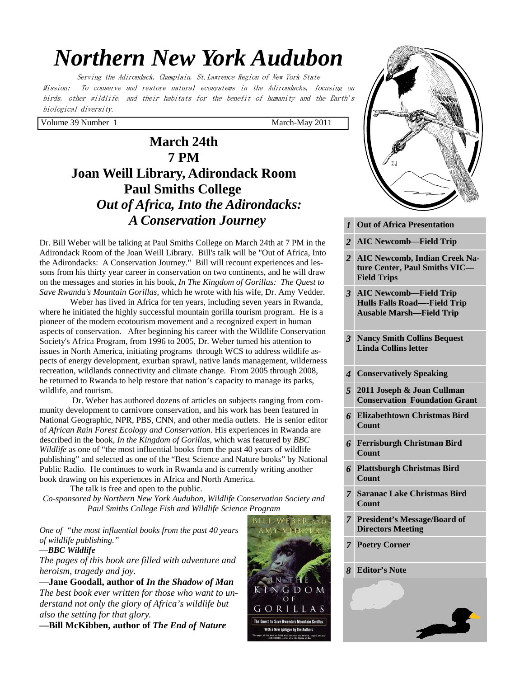# *Northern New York Audubon*

Serving the Adirondack, Champlain, St.Lawrence Region of New York State Mission: To conserve and restore natural ecosystems in the Adirondacks, focusing on birds, other wildlife, and their habitats for the benefit of humanity and the Earth's biological diversity.

Volume 39 Number 1 March-May 2011

# **March 24th 7 PM Joan Weill Library, Adirondack Room Paul Smiths College** *Out of Africa, Into the Adirondacks: A Conservation Journey*

Dr. Bill Weber will be talking at Paul Smiths College on March 24th at 7 PM in the Adirondack Room of the Joan Weill Library. Bill's talk will be "Out of Africa, Into the Adirondacks: A Conservation Journey." Bill will recount experiences and lessons from his thirty year career in conservation on two continents, and he will draw on the messages and stories in his book, *In The Kingdom of Gorillas: The Quest to Save Rwanda's Mountain Gorillas*, which he wrote with his wife, Dr. Amy Vedder.

 Weber has lived in Africa for ten years, including seven years in Rwanda, where he initiated the highly successful mountain gorilla tourism program. He is a pioneer of the modern ecotourism movement and a recognized expert in human aspects of conservation. After beginning his career with the Wildlife Conservation Society's Africa Program, from 1996 to 2005, Dr. Weber turned his attention to issues in North America, initiating programs through WCS to address wildlife aspects of energy development, exurban sprawl, native lands management, wilderness recreation, wildlands connectivity and climate change. From 2005 through 2008, he returned to Rwanda to help restore that nation's capacity to manage its parks, wildlife, and tourism.

 Dr. Weber has authored dozens of articles on subjects ranging from community development to carnivore conservation, and his work has been featured in National Geographic, NPR, PBS, CNN, and other media outlets. He is senior editor of *African Rain Forest Ecology and Conservation*. His experiences in Rwanda are described in the book, *In the Kingdom of Gorillas,* which was featured by *BBC Wildlife* as one of "the most influential books from the past 40 years of wildlife publishing" and selected as one of the "Best Science and Nature books" by National Public Radio. He continues to work in Rwanda and is currently writing another book drawing on his experiences in Africa and North America.

 The talk is free and open to the public. *Co-sponsored by Northern New York Audubon, Wildlife Conservation Society and Paul Smiths College Fish and Wildlife Science Program* 

*One of "the most influential books from the past 40 years of wildlife publishing."* 

#### —*BBC Wildlife*

*The pages of this book are filled with adventure and heroism, tragedy and joy.* 

—**Jane Goodall, author of** *In the Shadow of Man The best book ever written for those who want to understand not only the glory of Africa's wildlife but also the setting for that glory.* 

**—Bill McKibben, author of** *The End of Nature*



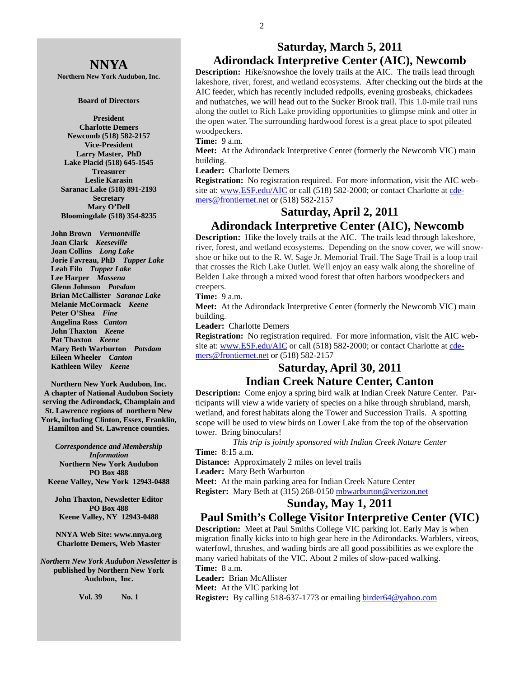### **NNYA**

**Northern New York Audubon, Inc.** 

#### **Board of Directors**

**President Charlotte Demers Newcomb (518) 582-2157 Vice-President Larry Master, PhD Lake Placid (518) 645-1545 Treasurer Leslie Karasin Saranac Lake (518) 891-2193 Secretary Mary O'Dell Bloomingdale (518) 354-8235** 

 **John Brown** *Vermontville*  **Joan Clark** *Keeseville*  **Joan Collins** *Long Lake*   **Jorie Favreau, PhD** *Tupper Lake*  **Leah Filo** *Tupper Lake*  **Lee Harper** *Massena*   **Glenn Johnson** *Potsdam*   **Brian McCallister** *Saranac Lake*   **Melanie McCormack** *Keene*   **Peter O'Shea** *Fine*   **Angelina Ross** *Canton* **John Thaxton** *Keene* **Pat Thaxton** *Keene*   **Mary Beth Warburton** *Potsdam*   **Eileen Wheeler** *Canton* **Kathleen Wiley** *Keene* 

**Northern New York Audubon, Inc. A chapter of National Audubon Society serving the Adirondack, Champlain and St. Lawrence regions of northern New York, including Clinton, Essex, Franklin, Hamilton and St. Lawrence counties.** 

*Correspondence and Membership Information* **Northern New York Audubon PO Box 488 Keene Valley, New York 12943-0488** 

**John Thaxton, Newsletter Editor PO Box 488 Keene Valley, NY 12943-0488** 

**NNYA Web Site: www.nnya.org Charlotte Demers, Web Master**

*Northern New York Audubon Newsletter* **is published by Northern New York Audubon, Inc.** 

**Vol. 39 No. 1** 

### **Saturday, March 5, 2011 Adirondack Interpretive Center (AIC), Newcomb**

**Description:** Hike/snowshoe the lovely trails at the AIC. The trails lead through lakeshore, river, forest, and wetland ecosystems. After checking out the birds at the AIC feeder, which has recently included redpolls, evening grosbeaks, chickadees and nuthatches, we will head out to the Sucker Brook trail. This 1.0-mile trail runs along the outlet to Rich Lake providing opportunities to glimpse mink and otter in the open water. The surrounding hardwood forest is a great place to spot pileated woodpeckers.

#### **Time:** 9 a.m.

**Meet:** At the Adirondack Interpretive Center (formerly the Newcomb VIC) main building.

#### **Leader:** Charlotte Demers

**Registration:** No registration required. For more information, visit the AIC website at: www.ESF.edu/AIC or call (518) 582-2000; or contact Charlotte at cdemers@frontiernet.net or (518) 582-2157

### **Saturday, April 2, 2011**

#### **Adirondack Interpretive Center (AIC), Newcomb**

**Description:** Hike the lovely trails at the AIC. The trails lead through lakeshore, river, forest, and wetland ecosystems. Depending on the snow cover, we will snowshoe or hike out to the R. W. Sage Jr. Memorial Trail. The Sage Trail is a loop trail that crosses the Rich Lake Outlet. We'll enjoy an easy walk along the shoreline of Belden Lake through a mixed wood forest that often harbors woodpeckers and creepers.

#### **Time:** 9 a.m.

**Meet:** At the Adirondack Interpretive Center (formerly the Newcomb VIC) main building.

#### **Leader:** Charlotte Demers

**Registration:** No registration required. For more information, visit the AIC website at: www.ESF.edu/AIC or call (518) 582-2000; or contact Charlotte at cdemers@frontiernet.net or (518) 582-2157

### **Saturday, April 30, 2011 Indian Creek Nature Center, Canton**

**Description:** Come enjoy a spring bird walk at Indian Creek Nature Center. Participants will view a wide variety of species on a hike through shrubland, marsh, wetland, and forest habitats along the Tower and Succession Trails. A spotting scope will be used to view birds on Lower Lake from the top of the observation tower. Bring binoculars!

*This trip is jointly sponsored with Indian Creek Nature Center* **Time:** 8:15 a.m.

**Distance:** Approximately 2 miles on level trails

**Leader:** Mary Beth Warburton

**Meet:** At the main parking area for Indian Creek Nature Center **Register:** Mary Beth at (315) 268-0150 mbwarburton@verizon.net

### **Sunday, May 1, 2011**

#### **Paul Smith's College Visitor Interpretive Center (VIC)**

**Description:** Meet at Paul Smiths College VIC parking lot. Early May is when migration finally kicks into to high gear here in the Adirondacks. Warblers, vireos, waterfowl, thrushes, and wading birds are all good possibilities as we explore the many varied habitats of the VIC. About 2 miles of slow-paced walking. **Time:** 8 a.m.

**Leader:** Brian McAllister

**Meet:** At the VIC parking lot

**Register:** By calling 518-637-1773 or emailing birder64@yahoo.com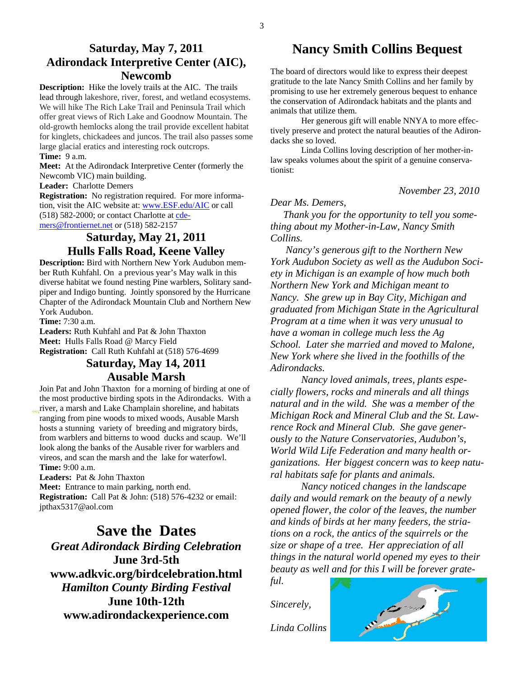**Description:** Hike the lovely trails at the AIC. The trails lead through lakeshore, river, forest, and wetland ecosystems. We will hike The Rich Lake Trail and Peninsula Trail which offer great views of Rich Lake and Goodnow Mountain. The old-growth hemlocks along the trail provide excellent habitat for kinglets, chickadees and juncos. The trail also passes some large glacial eratics and interesting rock outcrops.

#### **Time:** 9 a.m.

**Meet:** At the Adirondack Interpretive Center (formerly the Newcomb VIC) main building.

#### **Leader:** Charlotte Demers

**Registration:** No registration required. For more information, visit the AIC website at: www.ESF.edu/AIC or call (518) 582-2000; or contact Charlotte at cdemers@frontiernet.net or (518) 582-2157

### **Saturday, May 21, 2011 Hulls Falls Road, Keene Valley**

**Description:** Bird with Northern New York Audubon member Ruth Kuhfahl. On a previous year's May walk in this diverse habitat we found nesting Pine warblers, Solitary sandpiper and Indigo bunting. Jointly sponsored by the Hurricane Chapter of the Adirondack Mountain Club and Northern New York Audubon.

**Time:** 7:30 a.m.

**Leaders:** Ruth Kuhfahl and Pat & John Thaxton **Meet:** Hulls Falls Road @ Marcy Field **Registration:** Call Ruth Kuhfahl at (518) 576-4699

### **Saturday, May 14, 2011 Ausable Marsh**

Join Pat and John Thaxton for a morning of birding at one of the most productive birding spots in the Adirondacks. With a river, a marsh and Lake Champlain shoreline, and habitats ranging from pine woods to mixed woods, Ausable Marsh hosts a stunning variety of breeding and migratory birds, from warblers and bitterns to wood ducks and scaup. We'll look along the banks of the Ausable river for warblers and vireos, and scan the marsh and the lake for waterfowl. **Time:** 9:00 a.m.

**Leaders:** Pat & John Thaxton **Meet:** Entrance to main parking, north end. **Registration:** Call Pat & John: (518) 576-4232 or email: jpthax5317@aol.com

**Save the Dates**  *Great Adirondack Birding Celebration*  **June 3rd-5th www.adkvic.org/birdcelebration.html**  *Hamilton County Birding Festival*  **June 10th-12th www.adirondackexperience.com** 

### **Nancy Smith Collins Bequest**

The board of directors would like to express their deepest gratitude to the late Nancy Smith Collins and her family by promising to use her extremely generous bequest to enhance the conservation of Adirondack habitats and the plants and animals that utilize them.

 Her generous gift will enable NNYA to more effectively preserve and protect the natural beauties of the Adirondacks she so loved.

 Linda Collins loving description of her mother-inlaw speaks volumes about the spirit of a genuine conservationist:

*November 23, 2010* 

#### *Dear Ms. Demers,*

 *Thank you for the opportunity to tell you something about my Mother-in-Law, Nancy Smith Collins.*

 *Nancy's generous gift to the Northern New York Audubon Society as well as the Audubon Society in Michigan is an example of how much both Northern New York and Michigan meant to Nancy. She grew up in Bay City, Michigan and graduated from Michigan State in the Agricultural Program at a time when it was very unusual to have a woman in college much less the Ag School. Later she married and moved to Malone, New York where she lived in the foothills of the Adirondacks.*

*Nancy loved animals, trees, plants especially flowers, rocks and minerals and all things natural and in the wild. She was a member of the Michigan Rock and Mineral Club and the St. Lawrence Rock and Mineral Club. She gave generously to the Nature Conservatories, Audubon's, World Wild Life Federation and many health organizations. Her biggest concern was to keep natural habitats safe for plants and animals.*

*Nancy noticed changes in the landscape daily and would remark on the beauty of a newly opened flower, the color of the leaves, the number and kinds of birds at her many feeders, the striations on a rock, the antics of the squirrels or the size or shape of a tree. Her appreciation of all things in the natural world opened my eyes to their beauty as well and for this I will be forever grateful.*

*Sincerely,* 



*Linda Collins*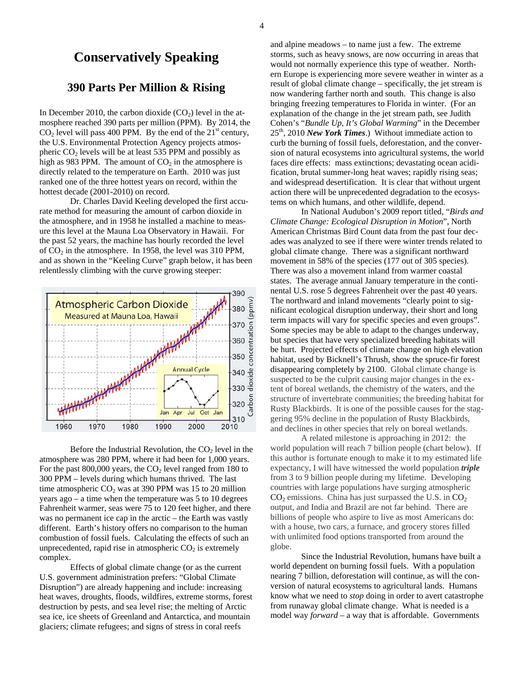### **Conservatively Speaking**

#### **390 Parts Per Million & Rising**

In December 2010, the carbon dioxide  $(CO<sub>2</sub>)$  level in the atmosphere reached 390 parts per million (PPM). By 2014, the  $CO<sub>2</sub>$  level will pass 400 PPM. By the end of the 21<sup>st</sup> century, the U.S. Environmental Protection Agency projects atmospheric  $CO<sub>2</sub>$  levels will be at least 535 PPM and possibly as high as 983 PPM. The amount of  $CO<sub>2</sub>$  in the atmosphere is directly related to the temperature on Earth. 2010 was just ranked one of the three hottest years on record, within the hottest decade (2001-2010) on record.

 Dr. Charles David Keeling developed the first accurate method for measuring the amount of carbon dioxide in the atmosphere, and in 1958 he installed a machine to measure this level at the Mauna Loa Observatory in Hawaii. For the past 52 years, the machine has hourly recorded the level of  $CO<sub>2</sub>$  in the atmosphere. In 1958, the level was 310 PPM, and as shown in the "Keeling Curve" graph below, it has been relentlessly climbing with the curve growing steeper:



Before the Industrial Revolution, the  $CO<sub>2</sub>$  level in the atmosphere was 280 PPM, where it had been for 1,000 years. For the past  $800,000$  years, the  $CO<sub>2</sub>$  level ranged from 180 to 300 PPM – levels during which humans thrived. The last time atmospheric  $CO<sub>2</sub>$  was at 390 PPM was 15 to 20 million years ago – a time when the temperature was 5 to 10 degrees Fahrenheit warmer, seas were 75 to 120 feet higher, and there was no permanent ice cap in the arctic – the Earth was vastly different. Earth's history offers no comparison to the human combustion of fossil fuels. Calculating the effects of such an unprecedented, rapid rise in atmospheric  $CO<sub>2</sub>$  is extremely complex.

 Effects of global climate change (or as the current U.S. government administration prefers: "Global Climate Disruption") are already happening and include: increasing heat waves, droughts, floods, wildfires, extreme storms, forest destruction by pests, and sea level rise; the melting of Arctic sea ice, ice sheets of Greenland and Antarctica, and mountain glaciers; climate refugees; and signs of stress in coral reefs

and alpine meadows – to name just a few. The extreme storms, such as heavy snows, are now occurring in areas that would not normally experience this type of weather. Northern Europe is experiencing more severe weather in winter as a result of global climate change – specifically, the jet stream is now wandering farther north and south. This change is also bringing freezing temperatures to Florida in winter. (For an explanation of the change in the jet stream path, see Judith Cohen's "*Bundle Up, It's Global Warming*" in the December 25th, 2010 *New York Times*.) Without immediate action to curb the burning of fossil fuels, deforestation, and the conversion of natural ecosystems into agricultural systems, the world faces dire effects: mass extinctions; devastating ocean acidification, brutal summer-long heat waves; rapidly rising seas; and widespread desertification. It is clear that without urgent action there will be unprecedented degradation to the ecosystems on which humans, and other wildlife, depend.

 In National Audubon's 2009 report titled, "*Birds and Climate Change: Ecological Disruption in Motion*", North American Christmas Bird Count data from the past four decades was analyzed to see if there were winter trends related to global climate change. There was a significant northward movement in 58% of the species (177 out of 305 species). There was also a movement inland from warmer coastal states. The average annual January temperature in the continental U.S. rose 5 degrees Fahrenheit over the past 40 years. The northward and inland movements "clearly point to significant ecological disruption underway, their short and long term impacts will vary for specific species and even groups". Some species may be able to adapt to the changes underway, but species that have very specialized breeding habitats will be hurt. Projected effects of climate change on high elevation habitat, used by Bicknell's Thrush, show the spruce-fir forest disappearing completely by 2100. Global climate change is suspected to be the culprit causing major changes in the extent of boreal wetlands, the chemistry of the waters, and the structure of invertebrate communities; the breeding habitat for Rusty Blackbirds. It is one of the possible causes for the staggering 95% decline in the population of Rusty Blackbirds, and declines in other species that rely on boreal wetlands.

 A related milestone is approaching in 2012: the world population will reach 7 billion people (chart below). If this author is fortunate enough to make it to my estimated life expectancy, I will have witnessed the world population *triple* from 3 to 9 billion people during my lifetime. Developing countries with large populations have surging atmospheric  $CO<sub>2</sub>$  emissions. China has just surpassed the U.S. in  $CO<sub>2</sub>$ output, and India and Brazil are not far behind. There are billions of people who aspire to live as most Americans do: with a house, two cars, a furnace, and grocery stores filled with unlimited food options transported from around the globe.

 Since the Industrial Revolution, humans have built a world dependent on burning fossil fuels. With a population nearing 7 billion, deforestation will continue, as will the conversion of natural ecosystems to agricultural lands. Humans know what we need to *stop* doing in order to avert catastrophe from runaway global climate change. What is needed is a model way *forward* – a way that is affordable. Governments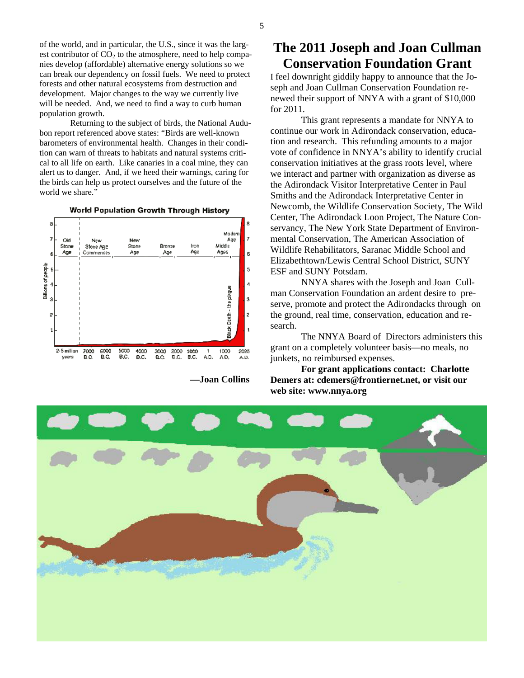of the world, and in particular, the U.S., since it was the largest contributor of  $CO<sub>2</sub>$  to the atmosphere, need to help companies develop (affordable) alternative energy solutions so we can break our dependency on fossil fuels. We need to protect forests and other natural ecosystems from destruction and development. Major changes to the way we currently live will be needed. And, we need to find a way to curb human population growth.

 Returning to the subject of birds, the National Audubon report referenced above states: "Birds are well-known barometers of environmental health. Changes in their condition can warn of threats to habitats and natural systems critical to all life on earth. Like canaries in a coal mine, they can alert us to danger. And, if we heed their warnings, caring for the birds can help us protect ourselves and the future of the world we share."



 **—Joan Collins** 

## **The 2011 Joseph and Joan Cullman Conservation Foundation Grant**

I feel downright giddily happy to announce that the Joseph and Joan Cullman Conservation Foundation renewed their support of NNYA with a grant of \$10,000 for 2011.

 This grant represents a mandate for NNYA to continue our work in Adirondack conservation, education and research. This refunding amounts to a major vote of confidence in NNYA's ability to identify crucial conservation initiatives at the grass roots level, where we interact and partner with organization as diverse as the Adirondack Visitor Interpretative Center in Paul Smiths and the Adirondack Interpretative Center in Newcomb, the Wildlife Conservation Society, The Wild Center, The Adirondack Loon Project, The Nature Conservancy, The New York State Department of Environmental Conservation, The American Association of Wildlife Rehabilitators, Saranac Middle School and Elizabethtown/Lewis Central School District, SUNY ESF and SUNY Potsdam.

 NNYA shares with the Joseph and Joan Cullman Conservation Foundation an ardent desire to preserve, promote and protect the Adirondacks through on the ground, real time, conservation, education and research.

 The NNYA Board of Directors administers this grant on a completely volunteer basis—no meals, no junkets, no reimbursed expenses.

**For grant applications contact: Charlotte Demers at: cdemers@frontiernet.net, or visit our web site: www.nnya.org** 

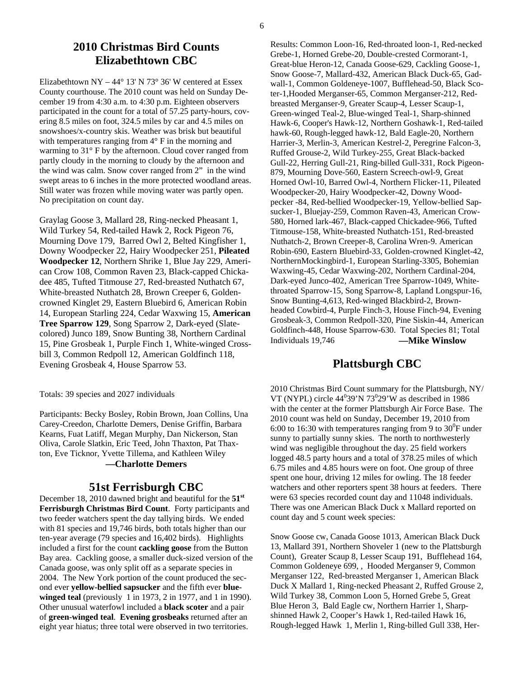### **2010 Christmas Bird Counts Elizabethtown CBC**

Elizabethtown NY – 44 $\degree$  13' N 73 $\degree$  36' W centered at Essex County courthouse. The 2010 count was held on Sunday December 19 from 4:30 a.m. to 4:30 p.m. Eighteen observers participated in the count for a total of 57.25 party-hours, covering 8.5 miles on foot, 324.5 miles by car and 4.5 miles on snowshoes/x-country skis. Weather was brisk but beautiful with temperatures ranging from  $4^{\circ}$  F in the morning and warming to 31° F by the afternoon. Cloud cover ranged from partly cloudy in the morning to cloudy by the afternoon and the wind was calm. Snow cover ranged from 2" in the wind swept areas to 6 inches in the more protected woodland areas. Still water was frozen while moving water was partly open. No precipitation on count day.

Graylag Goose 3, Mallard 28, Ring-necked Pheasant 1, Wild Turkey 54, Red-tailed Hawk 2, Rock Pigeon 76, Mourning Dove 179, Barred Owl 2, Belted Kingfisher 1, Downy Woodpecker 22, Hairy Woodpecker 251, **Pileated Woodpecker 12**, Northern Shrike 1, Blue Jay 229, American Crow 108, Common Raven 23, Black-capped Chickadee 485, Tufted Titmouse 27, Red-breasted Nuthatch 67, White-breasted Nuthatch 28, Brown Creeper 6, Goldencrowned Kinglet 29, Eastern Bluebird 6, American Robin 14, European Starling 224, Cedar Waxwing 15, **American Tree Sparrow 129**, Song Sparrow 2, Dark-eyed (Slatecolored) Junco 189, Snow Bunting 38, Northern Cardinal 15, Pine Grosbeak 1, Purple Finch 1, White-winged Crossbill 3, Common Redpoll 12, American Goldfinch 118, Evening Grosbeak 4, House Sparrow 53.

Totals: 39 species and 2027 individuals

Participants: Becky Bosley, Robin Brown, Joan Collins, Una Carey-Creedon, Charlotte Demers, Denise Griffin, Barbara Kearns, Fuat Latiff, Megan Murphy, Dan Nickerson, Stan Oliva, Carole Slatkin, Eric Teed, John Thaxton, Pat Thaxton, Eve Ticknor, Yvette Tillema, and Kathleen Wiley **—Charlotte Demers** 

# **51st Ferrisburgh CBC**

December 18, 2010 dawned bright and beautiful for the **51st Ferrisburgh Christmas Bird Count**. Forty participants and two feeder watchers spent the day tallying birds. We ended with 81 species and 19,746 birds, both totals higher than our ten-year average (79 species and 16,402 birds). Highlights included a first for the count **cackling goose** from the Button Bay area. Cackling goose, a smaller duck-sized version of the Canada goose, was only split off as a separate species in 2004. The New York portion of the count produced the second ever **yellow-bellied sapsucker** and the fifth ever **bluewinged teal** (previously 1 in 1973, 2 in 1977, and 1 in 1990). Other unusual waterfowl included a **black scoter** and a pair of **green-winged teal**. **Evening grosbeaks** returned after an eight year hiatus; three total were observed in two territories.

Results: Common Loon-16, Red-throated loon-1, Red-necked Grebe-1, Horned Grebe-20, Double-crested Cormorant-1, Great-blue Heron-12, Canada Goose-629, Cackling Goose-1, Snow Goose-7, Mallard-432, American Black Duck-65, Gadwall-1, Common Goldeneye-1007, Bufflehead-50, Black Scoter-1,Hooded Merganser-65, Common Merganser-212, Redbreasted Merganser-9, Greater Scaup-4, Lesser Scaup-1, Green-winged Teal-2, Blue-winged Teal-1, Sharp-shinned Hawk-6, Cooper's Hawk-12, Northern Goshawk-1, Red-tailed hawk-60, Rough-legged hawk-12, Bald Eagle-20, Northern Harrier-3, Merlin-3, American Kestrel-2, Peregrine Falcon-3, Ruffed Grouse-2, Wild Turkey-255, Great Black-backed Gull-22, Herring Gull-21, Ring-billed Gull-331, Rock Pigeon-879, Mourning Dove-560, Eastern Screech-owl-9, Great Horned Owl-10, Barred Owl-4, Northern Flicker-11, Pileated Woodpecker-20, Hairy Woodpecker-42, Downy Woodpecker -84, Red-bellied Woodpecker-19, Yellow-bellied Sapsucker-1, Bluejay-259, Common Raven-43, American Crow-580, Horned lark-467, Black-capped Chickadee-966, Tufted Titmouse-158, White-breasted Nuthatch-151, Red-breasted Nuthatch-2, Brown Creeper-8, Carolina Wren-9. American Robin-690, Eastern Bluebird-33, Golden-crowned Kinglet-42, NorthernMockingbird-1, European Starling-3305, Bohemian Waxwing-45, Cedar Waxwing-202, Northern Cardinal-204, Dark-eyed Junco-402, American Tree Sparrow-1049, Whitethroated Sparrow-15, Song Sparrow-8, Lapland Longspur-16, Snow Bunting-4,613, Red-winged Blackbird-2, Brownheaded Cowbird-4, Purple Finch-3, House Finch-94, Evening Grosbeak-3, Common Redpoll-320, Pine Siskin-44, American Goldfinch-448, House Sparrow-630. Total Species 81; Total Individuals 19,746 **—Mike Winslow** 

### **Plattsburgh CBC**

2010 Christmas Bird Count summary for the Plattsburgh, NY/ VT (NYPL) circle  $44^039'N73^029'W$  as described in 1986 with the center at the former Plattsburgh Air Force Base. The 2010 count was held on Sunday, December 19, 2010 from 6:00 to 16:30 with temperatures ranging from 9 to  $30^0$ F under sunny to partially sunny skies. The north to northwesterly wind was negligible throughout the day. 25 field workers logged 48.5 party hours and a total of 378.25 miles of which 6.75 miles and 4.85 hours were on foot. One group of three spent one hour, driving 12 miles for owling. The 18 feeder watchers and other reporters spent 38 hours at feeders. There were 63 species recorded count day and 11048 individuals. There was one American Black Duck x Mallard reported on count day and 5 count week species:

Snow Goose cw, Canada Goose 1013, American Black Duck 13, Mallard 391, Northern Shoveler 1 (new to the Plattsburgh Count), Greater Scaup 8, Lesser Scaup 191, Bufflehead 164, Common Goldeneye 699, , Hooded Merganser 9, Common Merganser 122, Red-breasted Merganser 1, American Black Duck X Mallard 1, Ring-necked Pheasant 2, Ruffed Grouse 2, Wild Turkey 38, Common Loon 5, Horned Grebe 5, Great Blue Heron 3, Bald Eagle cw, Northern Harrier 1, Sharpshinned Hawk 2, Cooper's Hawk 1, Red-tailed Hawk 16, Rough-legged Hawk 1, Merlin 1, Ring-billed Gull 338, Her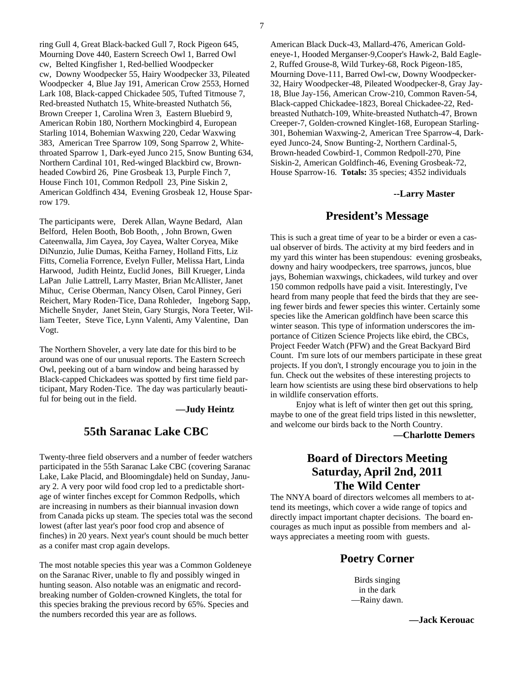ring Gull 4, Great Black-backed Gull 7, Rock Pigeon 645, Mourning Dove 440, Eastern Screech Owl 1, Barred Owl cw, Belted Kingfisher 1, Red-bellied Woodpecker cw, Downy Woodpecker 55, Hairy Woodpecker 33, Pileated Woodpecker 4, Blue Jay 191, American Crow 2553, Horned Lark 108, Black-capped Chickadee 505, Tufted Titmouse 7, Red-breasted Nuthatch 15, White-breasted Nuthatch 56, Brown Creeper 1, Carolina Wren 3, Eastern Bluebird 9, American Robin 180, Northern Mockingbird 4, European Starling 1014, Bohemian Waxwing 220, Cedar Waxwing 383, American Tree Sparrow 109, Song Sparrow 2, Whitethroated Sparrow 1, Dark-eyed Junco 215, Snow Bunting 634, Northern Cardinal 101, Red-winged Blackbird cw, Brownheaded Cowbird 26, Pine Grosbeak 13, Purple Finch 7, House Finch 101, Common Redpoll 23, Pine Siskin 2, American Goldfinch 434, Evening Grosbeak 12, House Sparrow 179.

The participants were, Derek Allan, Wayne Bedard, Alan Belford, Helen Booth, Bob Booth, , John Brown, Gwen Cateenwalla, Jim Cayea, Joy Cayea, Walter Coryea, Mike DiNunzio, Julie Dumas, Keitha Farney, Holland Fitts, Liz Fitts, Cornelia Forrence, Evelyn Fuller, Melissa Hart, Linda Harwood, Judith Heintz, Euclid Jones, Bill Krueger, Linda LaPan Julie Lattrell, Larry Master, Brian McAllister, Janet Mihuc, Cerise Oberman, Nancy Olsen, Carol Pinney, Geri Reichert, Mary Roden-Tice, Dana Rohleder, Ingeborg Sapp, Michelle Snyder, Janet Stein, Gary Sturgis, Nora Teeter, William Teeter, Steve Tice, Lynn Valenti, Amy Valentine, Dan Vogt.

The Northern Shoveler, a very late date for this bird to be around was one of our unusual reports. The Eastern Screech Owl, peeking out of a barn window and being harassed by Black-capped Chickadees was spotted by first time field participant, Mary Roden-Tice. The day was particularly beautiful for being out in the field.

 **—Judy Heintz**

### **55th Saranac Lake CBC**

Twenty-three field observers and a number of feeder watchers participated in the 55th Saranac Lake CBC (covering Saranac Lake, Lake Placid, and Bloomingdale) held on Sunday, January 2. A very poor wild food crop led to a predictable shortage of winter finches except for Common Redpolls, which are increasing in numbers as their biannual invasion down from Canada picks up steam. The species total was the second lowest (after last year's poor food crop and absence of finches) in 20 years. Next year's count should be much better as a conifer mast crop again develops.

The most notable species this year was a Common Goldeneye on the Saranac River, unable to fly and possibly winged in hunting season. Also notable was an enigmatic and recordbreaking number of Golden-crowned Kinglets, the total for this species braking the previous record by 65%. Species and the numbers recorded this year are as follows.

American Black Duck-43, Mallard-476, American Goldeneye-1, Hooded Merganser-9,Cooper's Hawk-2, Bald Eagle-2, Ruffed Grouse-8, Wild Turkey-68, Rock Pigeon-185, Mourning Dove-111, Barred Owl-cw, Downy Woodpecker-32, Hairy Woodpecker-48, Pileated Woodpecker-8, Gray Jay-18, Blue Jay-156, American Crow-210, Common Raven-54, Black-capped Chickadee-1823, Boreal Chickadee-22, Redbreasted Nuthatch-109, White-breasted Nuthatch-47, Brown Creeper-7, Golden-crowned Kinglet-168, European Starling-301, Bohemian Waxwing-2, American Tree Sparrow-4, Darkeyed Junco-24, Snow Bunting-2, Northern Cardinal-5, Brown-headed Cowbird-1, Common Redpoll-270, Pine Siskin-2, American Goldfinch-46, Evening Grosbeak-72, House Sparrow-16. **Totals:** 35 species; 4352 individuals

#### **--Larry Master**

#### **President's Message**

This is such a great time of year to be a birder or even a casual observer of birds. The activity at my bird feeders and in my yard this winter has been stupendous: evening grosbeaks, downy and hairy woodpeckers, tree sparrows, juncos, blue jays, Bohemian waxwings, chickadees, wild turkey and over 150 common redpolls have paid a visit. Interestingly, I've heard from many people that feed the birds that they are seeing fewer birds and fewer species this winter. Certainly some species like the American goldfinch have been scarce this winter season. This type of information underscores the importance of Citizen Science Projects like ebird, the CBCs, Project Feeder Watch (PFW) and the Great Backyard Bird Count. I'm sure lots of our members participate in these great projects. If you don't, I strongly encourage you to join in the fun. Check out the websites of these interesting projects to learn how scientists are using these bird observations to help in wildlife conservation efforts.

 Enjoy what is left of winter then get out this spring, maybe to one of the great field trips listed in this newsletter, and welcome our birds back to the North Country.

**—Charlotte Demers** 

### **Board of Directors Meeting Saturday, April 2nd, 2011 The Wild Center**

The NNYA board of directors welcomes all members to attend its meetings, which cover a wide range of topics and directly impact important chapter decisions. The board encourages as much input as possible from members and always appreciates a meeting room with guests.

#### **Poetry Corner**

Birds singing in the dark —Rainy dawn.

 **—Jack Kerouac**